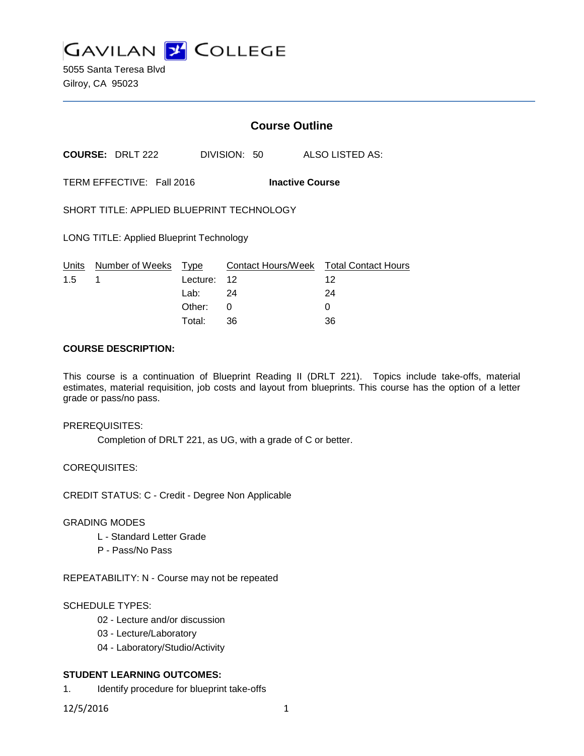

5055 Santa Teresa Blvd Gilroy, CA 95023

# **Course Outline**

**COURSE:** DRLT 222 DIVISION: 50 ALSO LISTED AS:

TERM EFFECTIVE: Fall 2016 **Inactive Course**

SHORT TITLE: APPLIED BLUEPRINT TECHNOLOGY

LONG TITLE: Applied Blueprint Technology

|               | Units Number of Weeks Type |             | Contact Hours/Week  Total Contact Hours |    |
|---------------|----------------------------|-------------|-----------------------------------------|----|
| $1.5 \quad 1$ |                            | Lecture: 12 |                                         | 12 |
|               |                            | Lab: 24     |                                         | 24 |
|               |                            | Other: 0    |                                         |    |
|               |                            | Total:      | -36                                     | 36 |

## **COURSE DESCRIPTION:**

This course is a continuation of Blueprint Reading II (DRLT 221). Topics include take-offs, material estimates, material requisition, job costs and layout from blueprints. This course has the option of a letter grade or pass/no pass.

### PREREQUISITES:

Completion of DRLT 221, as UG, with a grade of C or better.

COREQUISITES:

CREDIT STATUS: C - Credit - Degree Non Applicable

### GRADING MODES

- L Standard Letter Grade
- P Pass/No Pass

REPEATABILITY: N - Course may not be repeated

### SCHEDULE TYPES:

- 02 Lecture and/or discussion
- 03 Lecture/Laboratory
- 04 Laboratory/Studio/Activity

# **STUDENT LEARNING OUTCOMES:**

1. Identify procedure for blueprint take-offs

12/5/2016 1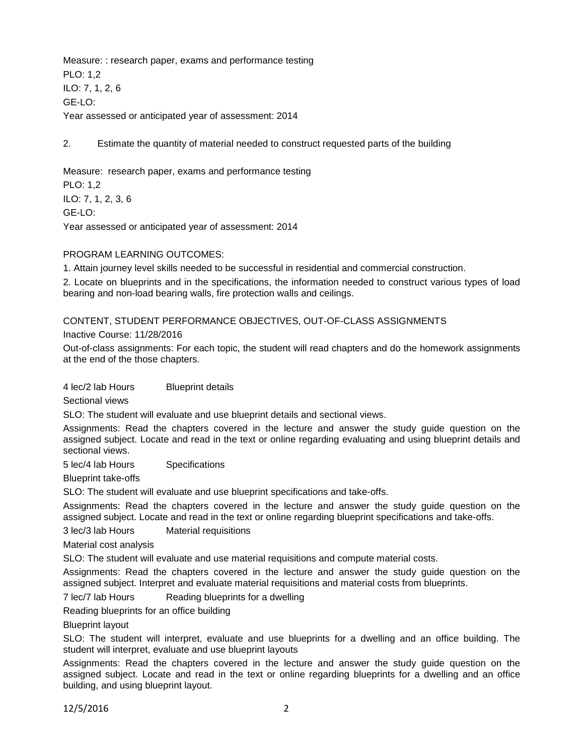Measure: : research paper, exams and performance testing PLO: 1,2 ILO: 7, 1, 2, 6 GE-LO: Year assessed or anticipated year of assessment: 2014

2. Estimate the quantity of material needed to construct requested parts of the building

Measure: research paper, exams and performance testing PLO: 1,2 ILO: 7, 1, 2, 3, 6 GE-LO: Year assessed or anticipated year of assessment: 2014

### PROGRAM LEARNING OUTCOMES:

1. Attain journey level skills needed to be successful in residential and commercial construction.

2. Locate on blueprints and in the specifications, the information needed to construct various types of load bearing and non-load bearing walls, fire protection walls and ceilings.

### CONTENT, STUDENT PERFORMANCE OBJECTIVES, OUT-OF-CLASS ASSIGNMENTS

Inactive Course: 11/28/2016

Out-of-class assignments: For each topic, the student will read chapters and do the homework assignments at the end of the those chapters.

4 lec/2 lab Hours Blueprint details

Sectional views

SLO: The student will evaluate and use blueprint details and sectional views.

Assignments: Read the chapters covered in the lecture and answer the study guide question on the assigned subject. Locate and read in the text or online regarding evaluating and using blueprint details and sectional views.

5 lec/4 lab Hours Specifications

Blueprint take-offs

SLO: The student will evaluate and use blueprint specifications and take-offs.

Assignments: Read the chapters covered in the lecture and answer the study guide question on the assigned subject. Locate and read in the text or online regarding blueprint specifications and take-offs.

3 lec/3 lab Hours Material requisitions

Material cost analysis

SLO: The student will evaluate and use material requisitions and compute material costs.

Assignments: Read the chapters covered in the lecture and answer the study guide question on the assigned subject. Interpret and evaluate material requisitions and material costs from blueprints.

7 lec/7 lab Hours Reading blueprints for a dwelling

Reading blueprints for an office building

Blueprint layout

SLO: The student will interpret, evaluate and use blueprints for a dwelling and an office building. The student will interpret, evaluate and use blueprint layouts

Assignments: Read the chapters covered in the lecture and answer the study guide question on the assigned subject. Locate and read in the text or online regarding blueprints for a dwelling and an office building, and using blueprint layout.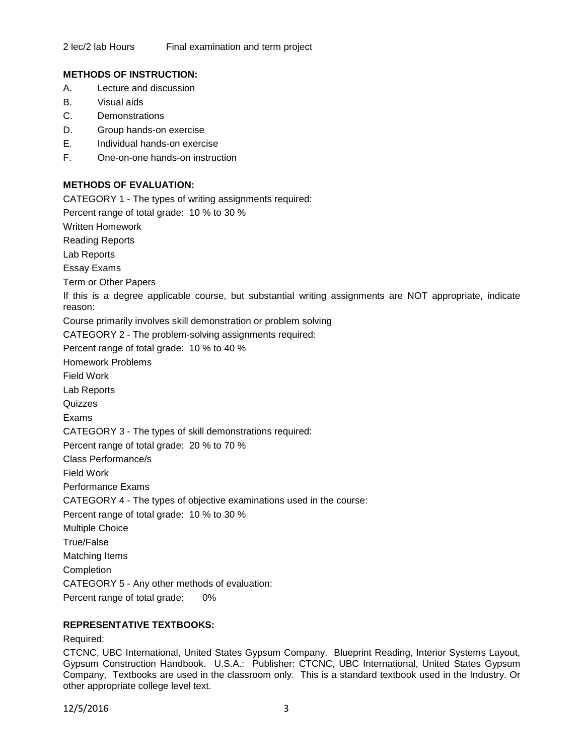## **METHODS OF INSTRUCTION:**

- A. Lecture and discussion
- B. Visual aids
- C. Demonstrations
- D. Group hands-on exercise
- E. Individual hands-on exercise
- F. One-on-one hands-on instruction

# **METHODS OF EVALUATION:**

CATEGORY 1 - The types of writing assignments required: Percent range of total grade: 10 % to 30 % Written Homework Reading Reports Lab Reports Essay Exams Term or Other Papers If this is a degree applicable course, but substantial writing assignments are NOT appropriate, indicate reason: Course primarily involves skill demonstration or problem solving CATEGORY 2 - The problem-solving assignments required: Percent range of total grade: 10 % to 40 % Homework Problems Field Work Lab Reports **Quizzes** Exams CATEGORY 3 - The types of skill demonstrations required: Percent range of total grade: 20 % to 70 % Class Performance/s Field Work Performance Exams CATEGORY 4 - The types of objective examinations used in the course: Percent range of total grade: 10 % to 30 % Multiple Choice True/False Matching Items **Completion** CATEGORY 5 - Any other methods of evaluation: Percent range of total grade: 0%

# **REPRESENTATIVE TEXTBOOKS:**

Required:

CTCNC, UBC International, United States Gypsum Company. Blueprint Reading, Interior Systems Layout, Gypsum Construction Handbook. U.S.A.: Publisher: CTCNC, UBC International, United States Gypsum Company, Textbooks are used in the classroom only. This is a standard textbook used in the Industry. Or other appropriate college level text.